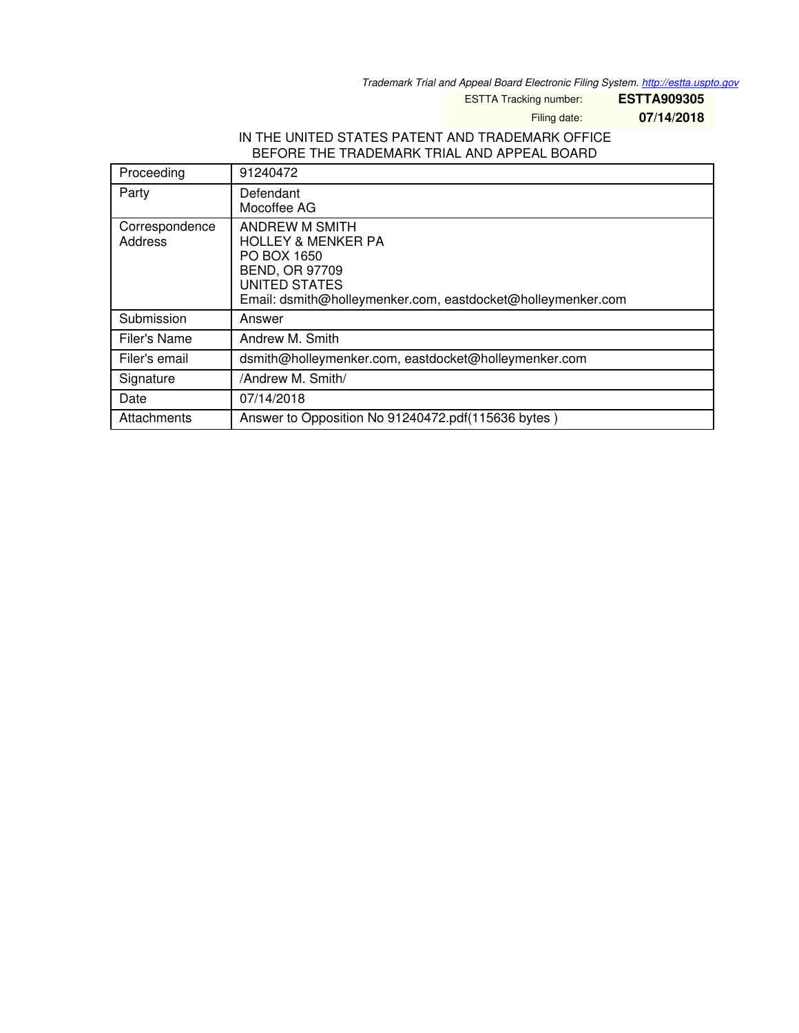*Trademark Trial and Appeal Board Electronic Filing System. <http://estta.uspto.gov>*

ESTTA Tracking number: **ESTTA909305**

Filing date: **07/14/2018**

## IN THE UNITED STATES PATENT AND TRADEMARK OFFICE BEFORE THE TRADEMARK TRIAL AND APPEAL BOARD

| Proceeding                | 91240472                                                                                                                                                                       |  |
|---------------------------|--------------------------------------------------------------------------------------------------------------------------------------------------------------------------------|--|
| Party                     | Defendant<br>Mocoffee AG                                                                                                                                                       |  |
| Correspondence<br>Address | ANDREW M SMITH<br><b>HOLLEY &amp; MENKER PA</b><br>PO BOX 1650<br><b>BEND, OR 97709</b><br><b>UNITED STATES</b><br>Email: dsmith@holleymenker.com, eastdocket@holleymenker.com |  |
| Submission                | Answer                                                                                                                                                                         |  |
| Filer's Name              | Andrew M. Smith                                                                                                                                                                |  |
| Filer's email             | dsmith@holleymenker.com, eastdocket@holleymenker.com                                                                                                                           |  |
| Signature                 | /Andrew M. Smith/                                                                                                                                                              |  |
| Date                      | 07/14/2018                                                                                                                                                                     |  |
| Attachments               | Answer to Opposition No 91240472.pdf(115636 bytes)                                                                                                                             |  |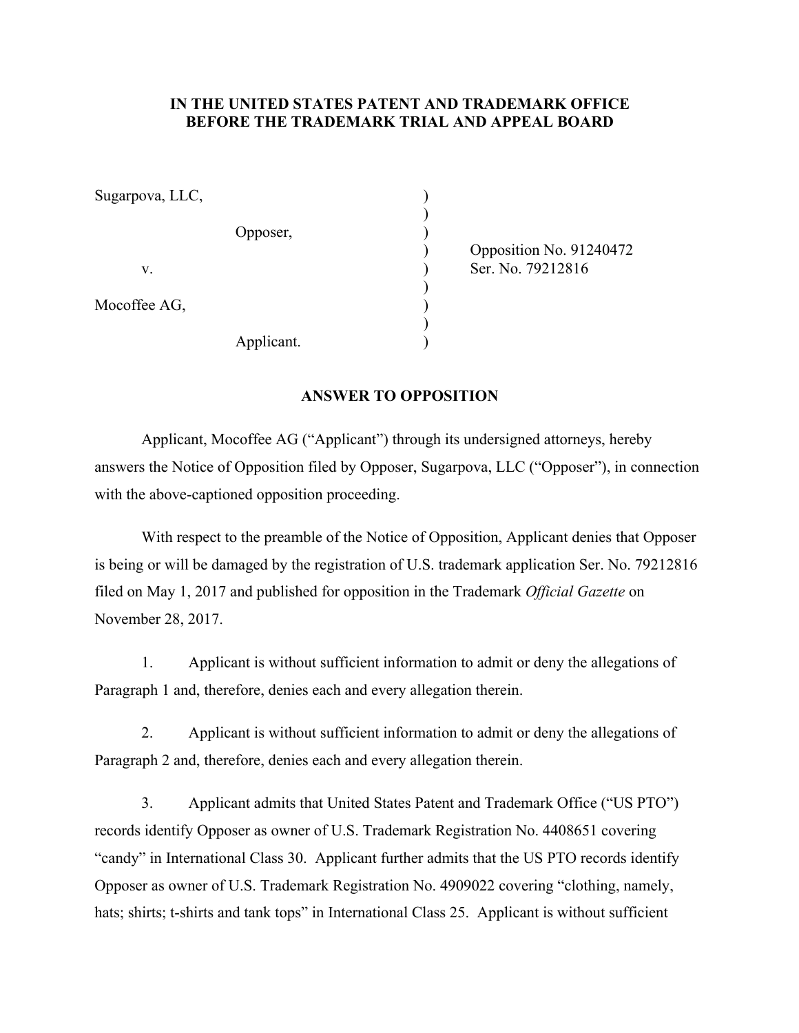## **IN THE UNITED STATES PATENT AND TRADEMARK OFFICE BEFORE THE TRADEMARK TRIAL AND APPEAL BOARD**

| Sugarpova, LLC, |            |  |
|-----------------|------------|--|
|                 | Opposer,   |  |
| V.              |            |  |
| Mocoffee AG,    |            |  |
|                 | Applicant. |  |

 ) Opposition No. 91240472 Ser. No. 79212816

## **ANSWER TO OPPOSITION**

 Applicant, Mocoffee AG ("Applicant") through its undersigned attorneys, hereby answers the Notice of Opposition filed by Opposer, Sugarpova, LLC ("Opposer"), in connection with the above-captioned opposition proceeding.

 With respect to the preamble of the Notice of Opposition, Applicant denies that Opposer is being or will be damaged by the registration of U.S. trademark application Ser. No. 79212816 filed on May 1, 2017 and published for opposition in the Trademark *Official Gazette* on November 28, 2017.

1. Applicant is without sufficient information to admit or deny the allegations of Paragraph 1 and, therefore, denies each and every allegation therein.

2. Applicant is without sufficient information to admit or deny the allegations of Paragraph 2 and, therefore, denies each and every allegation therein.

3. Applicant admits that United States Patent and Trademark Office ("US PTO") records identify Opposer as owner of U.S. Trademark Registration No. 4408651 covering "candy" in International Class 30. Applicant further admits that the US PTO records identify Opposer as owner of U.S. Trademark Registration No. 4909022 covering "clothing, namely, hats; shirts; t-shirts and tank tops" in International Class 25. Applicant is without sufficient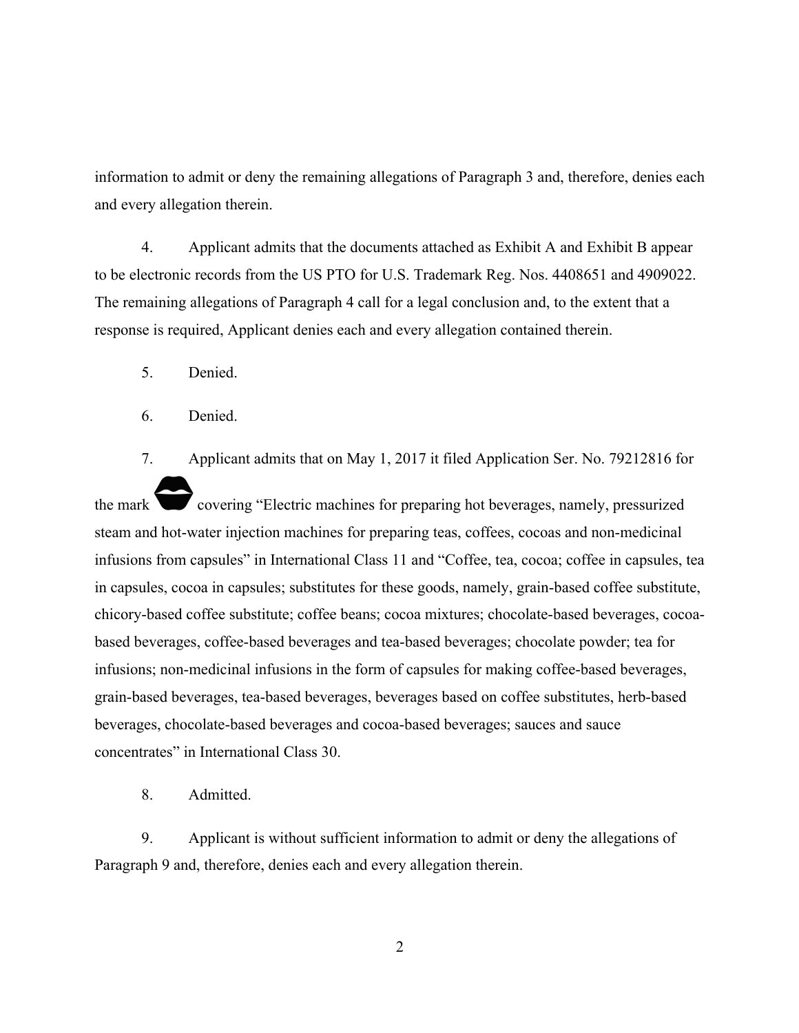information to admit or deny the remaining allegations of Paragraph 3 and, therefore, denies each and every allegation therein.

4. Applicant admits that the documents attached as Exhibit A and Exhibit B appear to be electronic records from the US PTO for U.S. Trademark Reg. Nos. 4408651 and 4909022. The remaining allegations of Paragraph 4 call for a legal conclusion and, to the extent that a response is required, Applicant denies each and every allegation contained therein.

5. Denied.

6. Denied.

7. Applicant admits that on May 1, 2017 it filed Application Ser. No. 79212816 for the mark covering "Electric machines for preparing hot beverages, namely, pressurized steam and hot-water injection machines for preparing teas, coffees, cocoas and non-medicinal infusions from capsules" in International Class 11 and "Coffee, tea, cocoa; coffee in capsules, tea in capsules, cocoa in capsules; substitutes for these goods, namely, grain-based coffee substitute, chicory-based coffee substitute; coffee beans; cocoa mixtures; chocolate-based beverages, cocoabased beverages, coffee-based beverages and tea-based beverages; chocolate powder; tea for infusions; non-medicinal infusions in the form of capsules for making coffee-based beverages, grain-based beverages, tea-based beverages, beverages based on coffee substitutes, herb-based beverages, chocolate-based beverages and cocoa-based beverages; sauces and sauce concentrates" in International Class 30.

8. Admitted.

9. Applicant is without sufficient information to admit or deny the allegations of Paragraph 9 and, therefore, denies each and every allegation therein.

2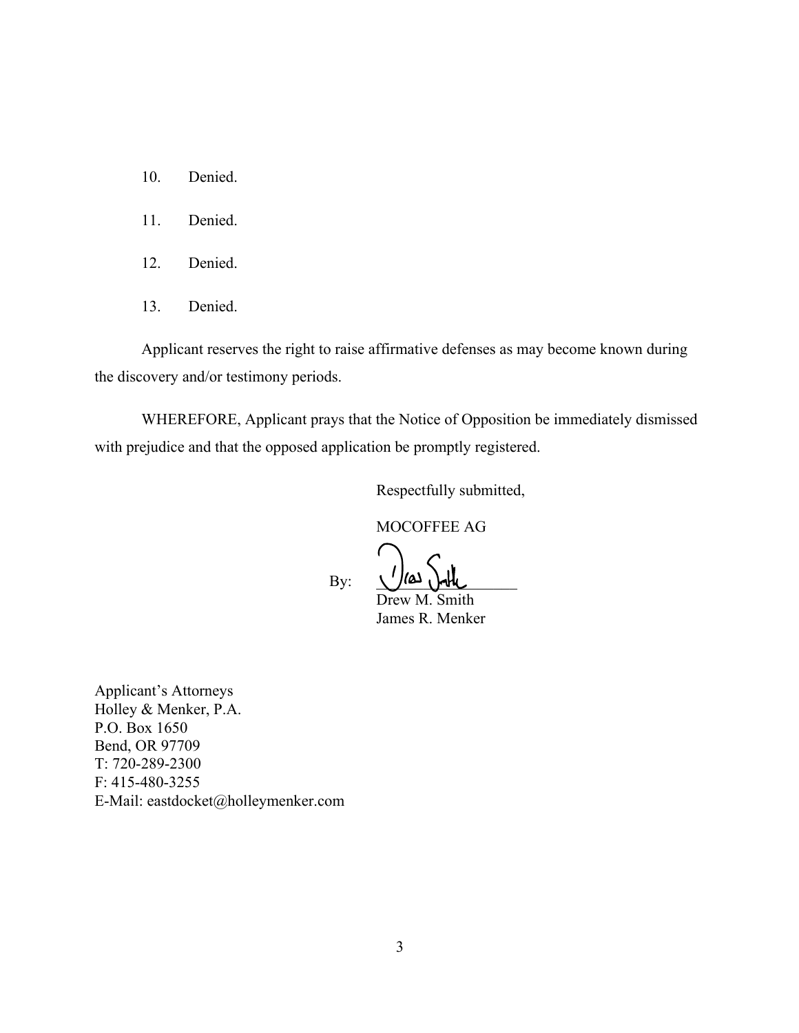- 10. Denied.
- 11. Denied.
- 12. Denied.
- 13. Denied.

 Applicant reserves the right to raise affirmative defenses as may become known during the discovery and/or testimony periods.

 WHEREFORE, Applicant prays that the Notice of Opposition be immediately dismissed with prejudice and that the opposed application be promptly registered.

Respectfully submitted,

MOCOFFEE AG

 $\text{By:}$   $\frac{1}{2}$   $\frac{1}{2}$   $\frac{1}{2}$   $\frac{1}{2}$   $\frac{1}{2}$ 

 Drew M. Smith James R. Menker

Applicant's Attorneys Holley & Menker, P.A. P.O. Box 1650 Bend, OR 97709 T: 720-289-2300 F: 415-480-3255 E-Mail: eastdocket@holleymenker.com